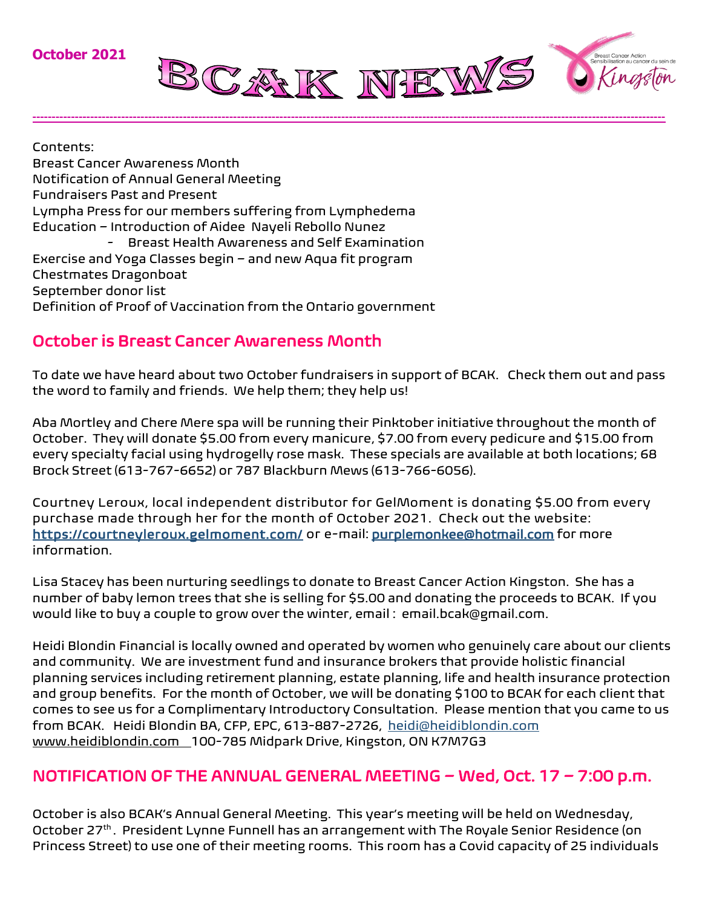

Contents: Breast Cancer Awareness Month Notification of Annual General Meeting Fundraisers Past and Present Lympha Press for our members suffering from Lymphedema Education – Introduction of Aidee Nayeli Rebollo Nunez - Breast Health Awareness and Self Examination Exercise and Yoga Classes begin – and new Aqua fit program Chestmates Dragonboat September donor list Definition of Proof of Vaccination from the Ontario government

## October is Breast Cancer Awareness Month

To date we have heard about two October fundraisers in support of BCAK. Check them out and pass the word to family and friends. We help them; they help us!

**--------------------------------------------------------------------------------------------------------------------------------------------------------------------**

Aba Mortley and Chere Mere spa will be running their Pinktober initiative throughout the month of October. They will donate \$5.00 from every manicure, \$7.00 from every pedicure and \$15.00 from every specialty facial using hydrogelly rose mask. These specials are available at both locations; 68 Brock Street (613-767-6652) or 787 Blackburn Mews (613-766-6056).

Courtney Leroux, local independent distributor for GelMoment is donating \$5.00 from every purchase made through her for the month of October 2021. Check out the website: <https://courtneyleroux.gelmoment.com/> or e-mail: [purplemonkee@hotmail.com](mailto:purplemonkee@hotmail.com) for more information.

Lisa Stacey has been nurturing seedlings to donate to Breast Cancer Action Kingston. She has a number of baby lemon trees that she is selling for \$5.00 and donating the proceeds to BCAK. If you would like to buy a couple to grow over the winter, email : email.bcak@gmail.com.

Heidi Blondin Financial is locally owned and operated by women who genuinely care about our clients and community. We are investment fund and insurance brokers that provide holistic financial planning services including retirement planning, estate planning, life and health insurance protection and group benefits. For the month of October, we will be donating \$100 to BCAK for each client that comes to see us for a Complimentary Introductory Consultation. Please mention that you came to us from BCAK. Heidi Blondin BA, CFP, EPC, 613-887-2726, [heidi@heidiblondin.com](mailto:heidi@heidiblondin.com) [www.heidiblondin.com](http://www.heidiblondin.com/) 100-785 Midpark Drive, Kingston, ON K7M7G3

# NOTIFICATION OF THE ANNUAL GENERAL MEETING – Wed, Oct. 17 – 7:00 p.m.

October is also BCAK's Annual General Meeting. This year's meeting will be held on Wednesday, October 27<sup>th</sup>. President Lynne Funnell has an arrangement with The Royale Senior Residence (on Princess Street) to use one of their meeting rooms. This room has a Covid capacity of 25 individuals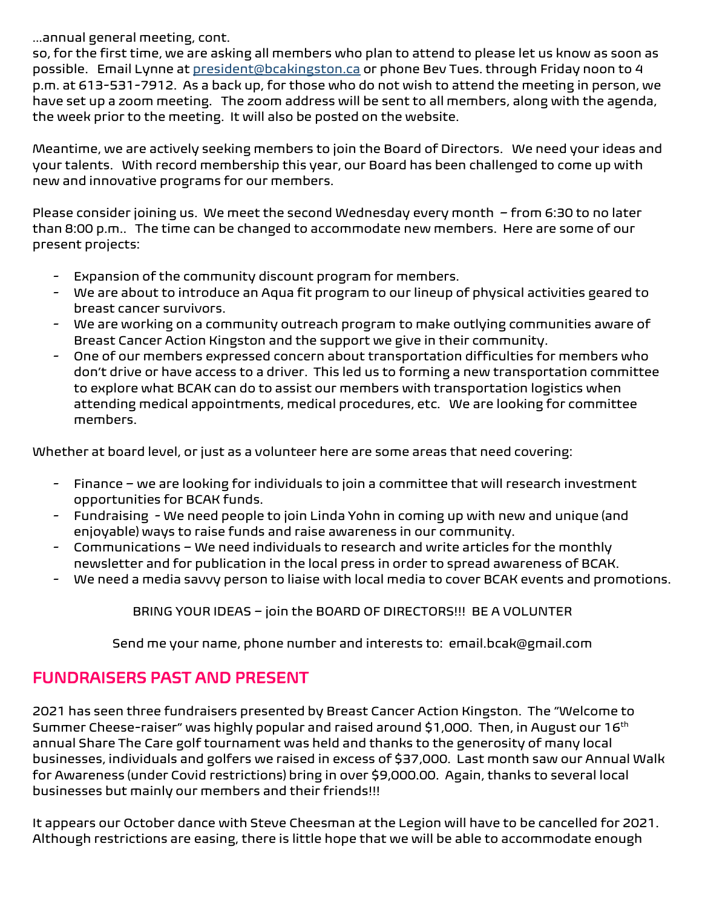…annual general meeting, cont.

so, for the first time, we are asking all members who plan to attend to please let us know as soon as possible. Email Lynne at <u>president@bcakingston.ca</u> or phone Bev Tues. through Fridav noon to 4 p.m. at 613-531-7912. As a back up, for those who do not wish to attend the meeting in person, we have set up a zoom meeting. The zoom address will be sent to all members, along with the agenda, the week prior to the meeting. It will also be posted on the website.

Meantime, we are actively seeking members to join the Board of Directors. We need your ideas and your talents. With record membership this year, our Board has been challenged to come up with new and innovative programs for our members.

Please consider joining us. We meet the second Wednesday every month – from 6:30 to no later than 8:00 p.m.. The time can be changed to accommodate new members. Here are some of our present projects:

- Expansion of the community discount program for members.
- We are about to introduce an Aqua fit program to our lineup of physical activities geared to breast cancer survivors.
- We are working on a community outreach program to make outlying communities aware of Breast Cancer Action Kingston and the support we give in their community.
- One of our members expressed concern about transportation difficulties for members who don't drive or have access to a driver. This led us to forming a new transportation committee to explore what BCAK can do to assist our members with transportation logistics when attending medical appointments, medical procedures, etc. We are looking for committee members.

Whether at board level, or just as a volunteer here are some areas that need covering:

- Finance we are looking for individuals to join a committee that will research investment opportunities for BCAK funds.
- Fundraising We need people to join Linda Yohn in coming up with new and unique (and enjoyable) ways to raise funds and raise awareness in our community.
- Communications We need individuals to research and write articles for the monthly newsletter and for publication in the local press in order to spread awareness of BCAK.
- We need a media savvy person to liaise with local media to cover BCAK events and promotions.

BRING YOUR IDEAS – join the BOARD OF DIRECTORS!!! BE A VOLUNTER

Send me your name, phone number and interests to: email.bcak@gmail.com

## FUNDRAISERS PAST AND PRESENT

2021 has seen three fundraisers presented by Breast Cancer Action Kingston. The "Welcome to Summer Cheese-raiser" was highly popular and raised around \$1,000. Then, in August our 16<sup>th</sup> annual Share The Care golf tournament was held and thanks to the generosity of many local businesses, individuals and golfers we raised in excess of \$37,000. Last month saw our Annual Walk for Awareness (under Covid restrictions) bring in over \$9,000.00. Again, thanks to several local businesses but mainly our members and their friends!!!

It appears our October dance with Steve Cheesman at the Legion will have to be cancelled for 2021. Although restrictions are easing, there is little hope that we will be able to accommodate enough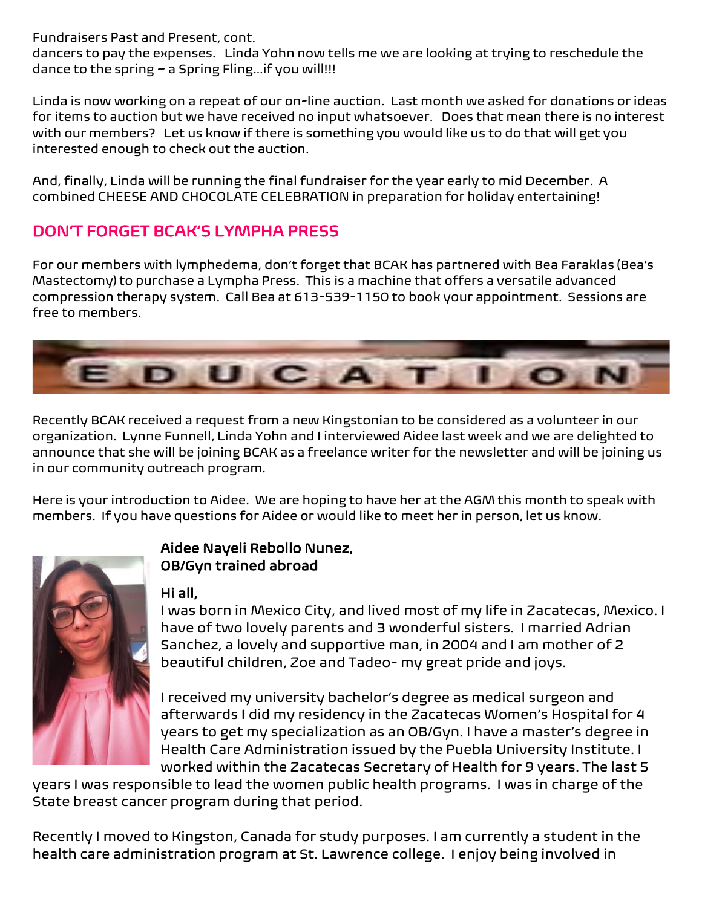Fundraisers Past and Present, cont.

dancers to pay the expenses. Linda Yohn now tells me we are looking at trying to reschedule the dance to the spring – a Spring Fling…if you will!!!

Linda is now working on a repeat of our on-line auction. Last month we asked for donations or ideas for items to auction but we have received no input whatsoever. Does that mean there is no interest with our members? Let us know if there is something you would like us to do that will get you interested enough to check out the auction.

And, finally, Linda will be running the final fundraiser for the year early to mid December. A combined CHEESE AND CHOCOLATE CELEBRATION in preparation for holiday entertaining!

# DON'T FORGET BCAK'S LYMPHA PRESS

For our members with lymphedema, don't forget that BCAK has partnered with Bea Faraklas (Bea's Mastectomy) to purchase a Lympha Press. This is a machine that offers a versatile advanced compression therapy system. Call Bea at 613-539-1150 to book your appointment. Sessions are free to members.



Recently BCAK received a request from a new Kingstonian to be considered as a volunteer in our organization. Lynne Funnell, Linda Yohn and I interviewed Aidee last week and we are delighted to announce that she will be joining BCAK as a freelance writer for the newsletter and will be joining us in our community outreach program.

Here is your introduction to Aidee. We are hoping to have her at the AGM this month to speak with members. If you have questions for Aidee or would like to meet her in person, let us know.



## Aidee Nayeli Rebollo Nunez, OB/Gyn trained abroad

### Hi all,

I was born in Mexico City, and lived most of my life in Zacatecas, Mexico. I have of two lovely parents and 3 wonderful sisters. I married Adrian Sanchez, a lovely and supportive man, in 2004 and I am mother of 2 beautiful children, Zoe and Tadeo- my great pride and joys.

I received my university bachelor's degree as medical surgeon and afterwards I did my residency in the Zacatecas Women's Hospital for 4 years to get my specialization as an OB/Gyn. I have a master's degree in Health Care Administration issued by the Puebla University Institute. I worked within the Zacatecas Secretary of Health for 9 years. The last 5

years I was responsible to lead the women public health programs. I was in charge of the State breast cancer program during that period.

Recently I moved to Kingston, Canada for study purposes. I am currently a student in the health care administration program at St. Lawrence college. I enjoy being involved in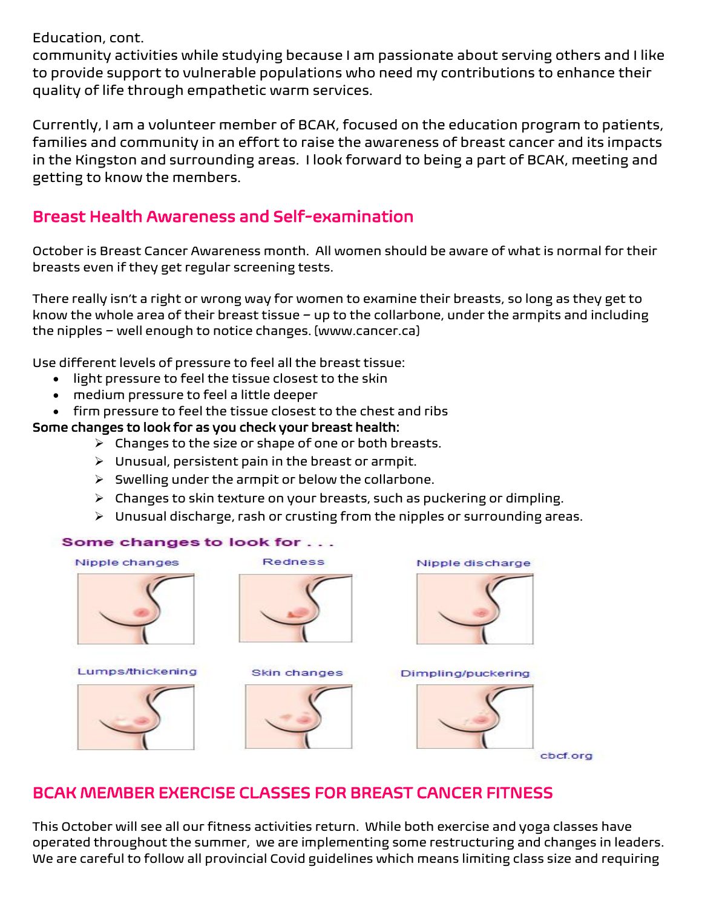Education, cont.

community activities while studying because I am passionate about serving others and I like to provide support to vulnerable populations who need my contributions to enhance their quality of life through empathetic warm services.

Currently, I am a volunteer member of BCAK, focused on the education program to patients, families and community in an effort to raise the awareness of breast cancer and its impacts in the Kingston and surrounding areas. I look forward to being a part of BCAK, meeting and getting to know the members.

## Breast Health Awareness and Self-examination

October is Breast Cancer Awareness month. All women should be aware of what is normal for their breasts even if they get regular screening tests.

There really isn't a right or wrong way for women to examine their breasts, so long as they get to know the whole area of their breast tissue – up to the collarbone, under the armpits and including the nipples – well enough to notice changes. [www.cancer.ca]

Use different levels of pressure to feel all the breast tissue:

- light pressure to feel the tissue closest to the skin
- medium pressure to feel a little deeper
- firm pressure to feel the tissue closest to the chest and ribs

### Some changes to look for as you check your breast health:

- $\triangleright$  Changes to the size or shape of one or both breasts.
- ➢ Unusual, persistent pain in the breast or armpit.
- $\triangleright$  Swelling under the armpit or below the collarbone.
- ➢ Changes to skin texture on your breasts, such as puckering or dimpling.
- ➢ Unusual discharge, rash or crusting from the nipples or surrounding areas.

#### Some changes to look for . . .

| <b>Redness</b> | Nipple discharge   |
|----------------|--------------------|
|                |                    |
|                |                    |
| Skin changes   | Dimpling/puckering |
|                |                    |
|                |                    |
|                |                    |

cbcf.org

# BCAK MEMBER EXERCISE CLASSES FOR BREAST CANCER FITNESS

This October will see all our fitness activities return. While both exercise and yoga classes have operated throughout the summer, we are implementing some restructuring and changes in leaders. We are careful to follow all provincial Covid guidelines which means limiting class size and requiring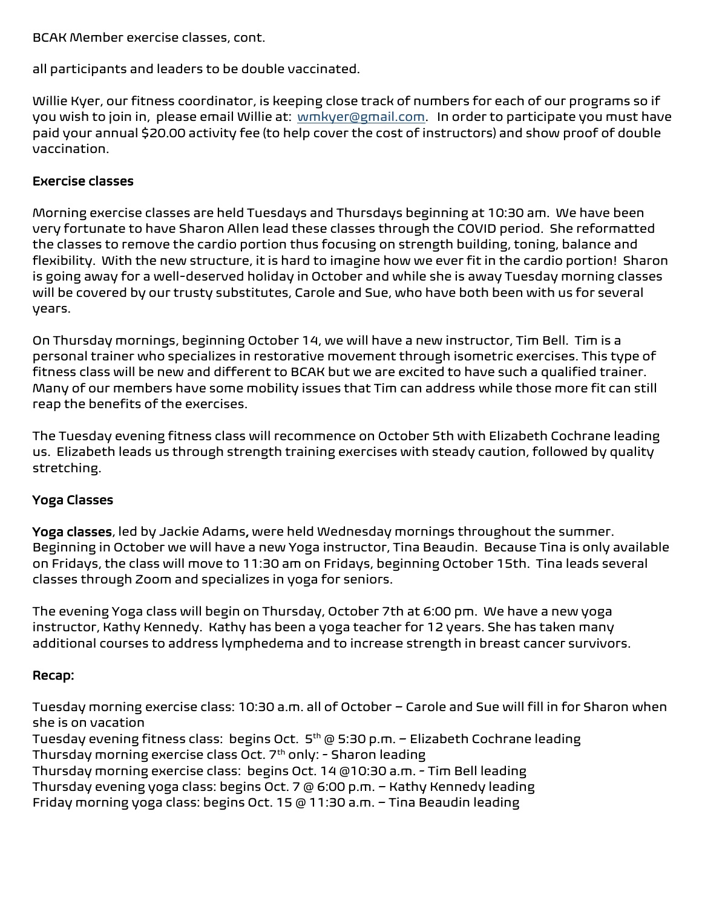BCAK Member exercise classes, cont.

all participants and leaders to be double vaccinated.

Willie Kyer, our fitness coordinator, is keeping close track of numbers for each of our programs so if you wish to join in, please email Willie at: [wmkyer@gmail.com.](mailto:wmkyer@gmail.com) In order to participate you must have paid your annual \$20.00 activity fee (to help cover the cost of instructors) and show proof of double vaccination.

#### Exercise classes

Morning exercise classes are held Tuesdays and Thursdays beginning at 10:30 am. We have been very fortunate to have Sharon Allen lead these classes through the COVID period. She reformatted the classes to remove the cardio portion thus focusing on strength building, toning, balance and flexibility. With the new structure, it is hard to imagine how we ever fit in the cardio portion! Sharon is going away for a well-deserved holiday in October and while she is away Tuesday morning classes will be covered by our trusty substitutes, Carole and Sue, who have both been with us for several years.

On Thursday mornings, beginning October 14, we will have a new instructor, Tim Bell. Tim is a personal trainer who specializes in restorative movement through isometric exercises. This type of fitness class will be new and different to BCAK but we are excited to have such a qualified trainer. Many of our members have some mobility issues that Tim can address while those more fit can still reap the benefits of the exercises.

The Tuesday evening fitness class will recommence on October 5th with Elizabeth Cochrane leading us. Elizabeth leads us through strength training exercises with steady caution, followed by quality stretching.

### Yoga Classes

Yoga classes, led by Jackie Adams, were held Wednesday mornings throughout the summer. Beginning in October we will have a new Yoga instructor, Tina Beaudin. Because Tina is only available on Fridays, the class will move to 11:30 am on Fridays, beginning October 15th. Tina leads several classes through Zoom and specializes in yoga for seniors.

The evening Yoga class will begin on Thursday, October 7th at 6:00 pm. We have a new yoga instructor, Kathy Kennedy. Kathy has been a yoga teacher for 12 years. She has taken many additional courses to address lymphedema and to increase strength in breast cancer survivors.

#### Recap:

Tuesday morning exercise class: 10:30 a.m. all of October – Carole and Sue will fill in for Sharon when she is on vacation

Tuesday evening fitness class: begins Oct. 5<sup>th</sup> @ 5:30 p.m. - Elizabeth Cochrane leading Thursday morning exercise class Oct.  $7<sup>th</sup>$  only: - Sharon leading

Thursday morning exercise class: begins Oct. 14 @10:30 a.m. - Tim Bell leading

Thursday evening yoga class: begins Oct. 7 @ 6:00 p.m. – Kathy Kennedy leading

Friday morning yoga class: begins Oct. 15 @ 11:30 a.m. – Tina Beaudin leading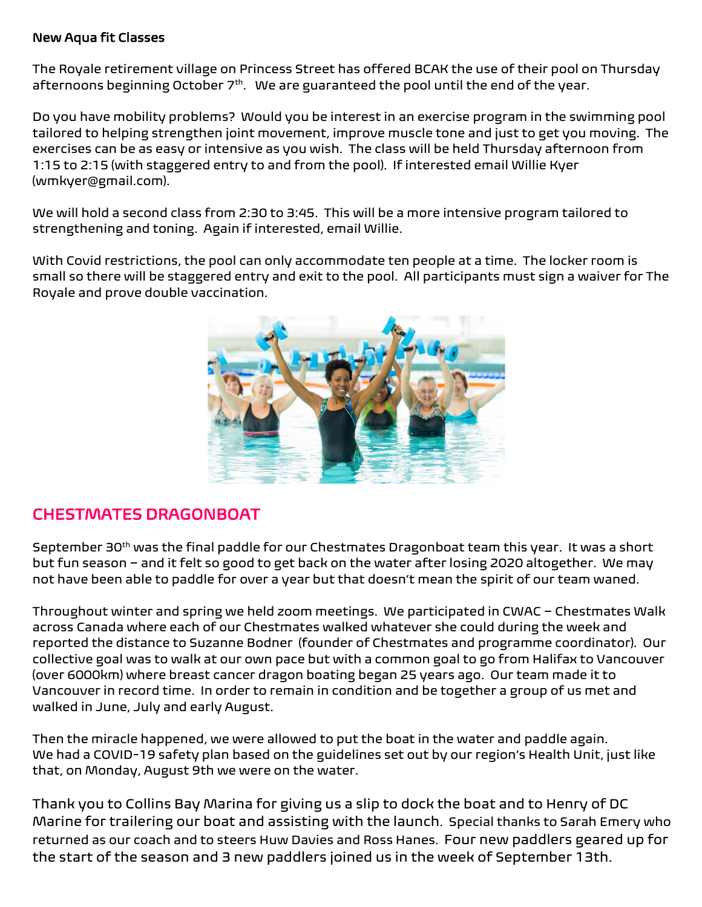#### New Aqua fit Classes

The Royale retirement village on Princess Street has offered BCAK the use of their pool on Thursday afternoons beginning October 7<sup>th</sup>. We are guaranteed the pool until the end of the year.

Do you have mobility problems? Would you be interest in an exercise program in the swimming pool tailored to helping strengthen joint movement, improve muscle tone and just to get you moving. The exercises can be as easy or intensive as you wish. The class will be held Thursday afternoon from 1:15 to 2:15 (with staggered entry to and from the pool). If interested email Willie Kyer (wmkyer@gmail.com).

We will hold a second class from 2:30 to 3:45. This will be a more intensive program tailored to strengthening and toning. Again if interested, email Willie.

With Covid restrictions, the pool can only accommodate ten people at a time. The locker room is small so there will be staggered entry and exit to the pool. All participants must sign a waiver for The Royale and prove double vaccination.



## CHESTMATES DRAGONBOAT

September 30<sup>th</sup> was the final paddle for our Chestmates Dragonboat team this year. It was a short but fun season – and it felt so good to get back on the water after losing 2020 altogether. We may not have been able to paddle for over a year but that doesn't mean the spirit of our team waned.

Throughout winter and spring we held zoom meetings. We participated in CWAC – Chestmates Walk across Canada where each of our Chestmates walked whatever she could during the week and reported the distance to Suzanne Bodner (founder of Chestmates and programme coordinator). Our collective goal was to walk at our own pace but with a common goal to go from Halifax to Vancouver (over 6000km) where breast cancer dragon boating began 25 years ago. Our team made it to Vancouver in record time. In order to remain in condition and be together a group of us met and walked in June, July and early August.

Then the miracle happened, we were allowed to put the boat in the water and paddle again. We had a COVID-19 safety plan based on the guidelines set out by our region's Health Unit, just like that, on Monday, August 9th we were on the water.

Thank you to Collins Bay Marina for giving us a slip to dock the boat and to Henry of DC Marine for trailering our boat and assisting with the launch. Special thanks to Sarah Emery who returned as our coach and to steers Huw Davies and Ross Hanes. Four new paddlers geared up for the start of the season and 3 new paddlers joined us in the week of September 13th.